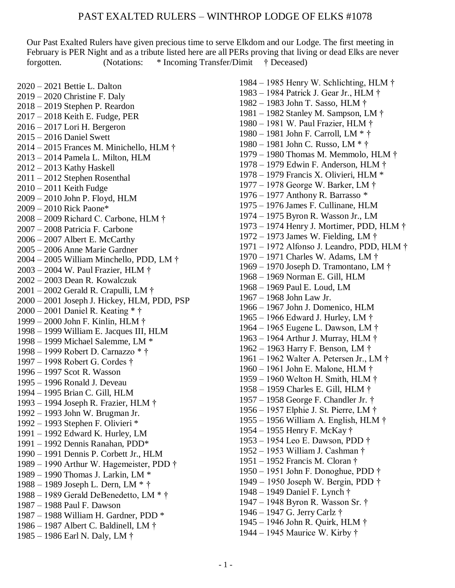## PAST EXALTED RULERS – WINTHROP LODGE OF ELKS #1078

Our Past Exalted Rulers have given precious time to serve Elkdom and our Lodge. The first meeting in February is PER Night and as a tribute listed here are all PERs proving that living or dead Elks are never forgotten. (Notations: \* Incoming Transfer/Dimit † Deceased)

2020 – 2021 Bettie L. Dalton 2019 – 2020 Christine F. Daly 2018 – 2019 Stephen P. Reardon 2017 – 2018 Keith E. Fudge, PER 2016 – 2017 Lori H. Bergeron 2015 – 2016 Daniel Swett 2014 – 2015 Frances M. Minichello, HLM † 2013 – 2014 Pamela L. Milton, HLM 2012 – 2013 Kathy Haskell 2011 – 2012 Stephen Rosenthal 2010 – 2011 Keith Fudge 2009 – 2010 John P. Floyd, HLM 2009 – 2010 Rick Paone\* 2008 – 2009 Richard C. Carbone, HLM † 2007 – 2008 Patricia F. Carbone 2006 – 2007 Albert E. McCarthy 2005 – 2006 Anne Marie Gardner 2004 – 2005 William Minchello, PDD, LM † 2003 – 2004 W. Paul Frazier, HLM † 2002 – 2003 Dean R. Kowalczuk 2001 – 2002 Gerald R. Crapulli, LM † 2000 – 2001 Joseph J. Hickey, HLM, PDD, PSP 2000 – 2001 Daniel R. Keating \* † 1999 – 2000 John F. Kinlin, HLM † 1998 – 1999 William E. Jacques III, HLM 1998 – 1999 Michael Salemme, LM \* 1998 – 1999 Robert D. Carnazzo \* † 1997 – 1998 Robert G. Cordes † 1996 – 1997 Scot R. Wasson 1995 – 1996 Ronald J. Deveau 1994 – 1995 Brian C. Gill, HLM 1993 – 1994 Joseph R. Frazier, HLM † 1992 – 1993 John W. Brugman Jr. 1992 – 1993 Stephen F. Olivieri \* 1991 – 1992 Edward K. Hurley, LM 1991 – 1992 Dennis Ranahan, PDD\* 1990 – 1991 Dennis P. Corbett Jr., HLM 1989 – 1990 Arthur W. Hagemeister, PDD † 1989 – 1990 Thomas J. Larkin, LM \* 1988 – 1989 Joseph L. Dern, LM \* † 1988 – 1989 Gerald DeBenedetto, LM \* † 1987 – 1988 Paul F. Dawson 1987 – 1988 William H. Gardner, PDD \* 1986 – 1987 Albert C. Baldinell, LM † 1985 – 1986 Earl N. Daly, LM †

1984 – 1985 Henry W. Schlichting, HLM † 1983 – 1984 Patrick J. Gear Jr., HLM † 1982 – 1983 John T. Sasso, HLM † 1981 – 1982 Stanley M. Sampson, LM † 1980 – 1981 W. Paul Frazier, HLM † 1980 – 1981 John F. Carroll, LM \* † 1980 – 1981 John C. Russo, LM \* † 1979 – 1980 Thomas M. Memmolo, HLM † 1978 – 1979 Edwin F. Anderson, HLM † 1978 – 1979 Francis X. Olivieri, HLM \* 1977 – 1978 George W. Barker, LM † 1976 – 1977 Anthony R. Barrasso \* 1975 – 1976 James F. Cullinane, HLM 1974 – 1975 Byron R. Wasson Jr., LM 1973 – 1974 Henry J. Mortimer, PDD, HLM † 1972 – 1973 James W. Fielding, LM † 1971 – 1972 Alfonso J. Leandro, PDD, HLM † 1970 – 1971 Charles W. Adams, LM † 1969 – 1970 Joseph D. Tramontano, LM † 1968 – 1969 Norman E. Gill, HLM 1968 – 1969 Paul E. Loud, LM 1967 – 1968 John Law Jr. 1966 – 1967 John J. Domenico, HLM 1965 – 1966 Edward J. Hurley, LM † 1964 – 1965 Eugene L. Dawson, LM † 1963 – 1964 Arthur J. Murray, HLM † 1962 – 1963 Harry F. Benson, LM † 1961 – 1962 Walter A. Petersen Jr., LM † 1960 – 1961 John E. Malone, HLM † 1959 – 1960 Welton H. Smith, HLM † 1958 – 1959 Charles E. Gill, HLM † 1957 – 1958 George F. Chandler Jr. † 1956 – 1957 Elphie J. St. Pierre, LM † 1955 – 1956 William A. English, HLM † 1954 – 1955 Henry F. McKay † 1953 – 1954 Leo E. Dawson, PDD † 1952 – 1953 William J. Cashman † 1951 – 1952 Francis M. Cloran † 1950 – 1951 John F. Donoghue, PDD † 1949 – 1950 Joseph W. Bergin, PDD † 1948 – 1949 Daniel F. Lynch † 1947 – 1948 Byron R. Wasson Sr. † 1946 – 1947 G. Jerry Carlz † 1945 – 1946 John R. Quirk, HLM † 1944 – 1945 Maurice W. Kirby †